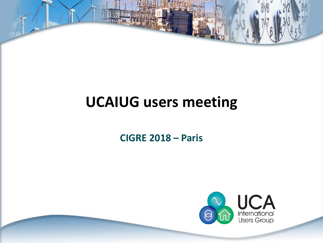# **UCAIUG users meeting**

### **CIGRE 2018 – Paris**

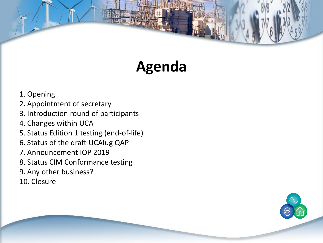# **Agenda**

- 1. Opening
- 2. Appointment of secretary
- 3. Introduction round of participants
- 4. Changes within UCA
- 5. Status Edition 1 testing (end-of-life)
- 6. Status of the draft UCAIug QAP
- 7. Announcement IOP 2019
- 8. Status CIM Conformance testing
- 9. Any other business?
- 10. Closure

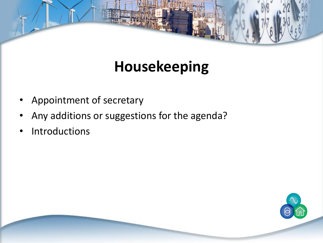# **Housekeeping**

- Appointment of secretary
- Any additions or suggestions for the agenda?
- **Introductions**

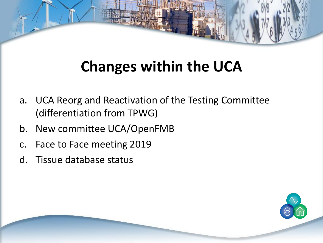# **Changes within the UCA**

- a. UCA Reorg and Reactivation of the Testing Committee (differentiation from TPWG)
- b. New committee UCA/OpenFMB
- c. Face to Face meeting 2019
- d. Tissue database status

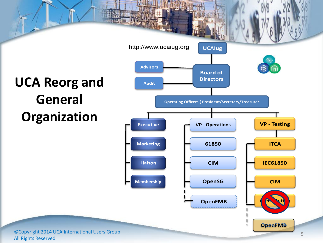# **UCA Reorg and General Organization**



©Copyright 2014 UCA International Users Group All Rights Reserved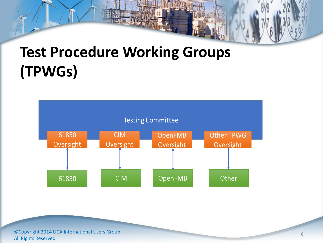# **Test Procedure Working Groups (TPWGs)**



©Copyright 2014 UCA International Users Group All Rights Reserved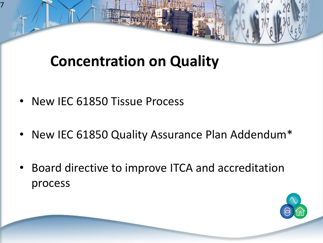# **Concentration on Quality**

• New IEC 61850 Tissue Process

7

- New IEC 61850 Quality Assurance Plan Addendum\*
- Board directive to improve ITCA and accreditation process

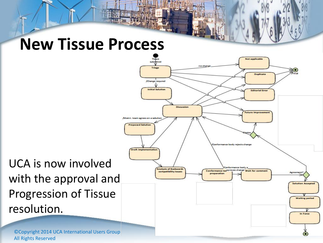# **New Tissue Process**



UCA is now involved with the approval and Progression of Tissue resolution.

©Copyright 2014 UCA International Users Group All Rights Reserved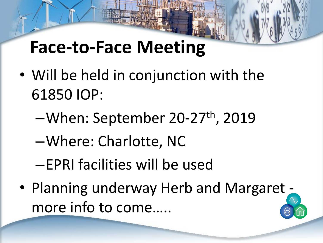# **Face-to-Face Meeting**

- Will be held in conjunction with the 61850 IOP:
	- –When: September 20-27th, 2019
	- –Where: Charlotte, NC
	- –EPRI facilities will be used
- Planning underway Herb and Margaret more info to come…..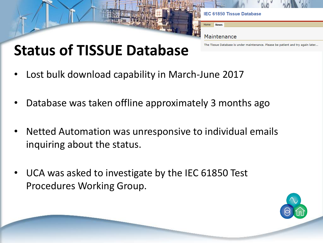

# **Status of TISSUE Database**

- Lost bulk download capability in March-June 2017
- Database was taken offline approximately 3 months ago
- Netted Automation was unresponsive to individual emails inquiring about the status.
- UCA was asked to investigate by the IEC 61850 Test Procedures Working Group.

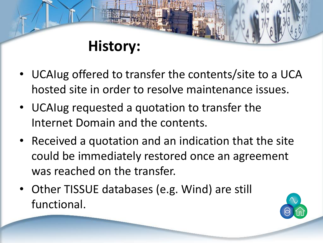### **History:**

- UCAIug offered to transfer the contents/site to a UCA hosted site in order to resolve maintenance issues.
- UCAIug requested a quotation to transfer the Internet Domain and the contents.
- Received a quotation and an indication that the site could be immediately restored once an agreement was reached on the transfer.
- Other TISSUE databases (e.g. Wind) are still functional.

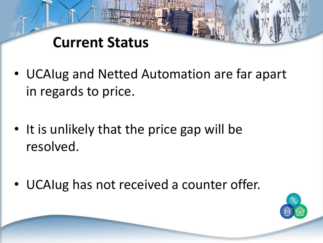### **Current Status**

- UCAIug and Netted Automation are far apart in regards to price.
- It is unlikely that the price gap will be resolved.
- UCAIug has not received a counter offer.

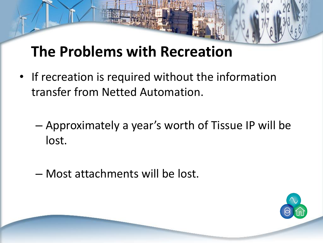# **The Problems with Recreation**

- If recreation is required without the information transfer from Netted Automation.
	- Approximately a year's worth of Tissue IP will be lost.
	- Most attachments will be lost.

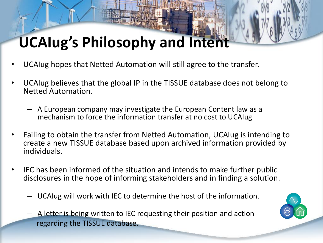# **UCAIug's Philosophy and Intent**

- UCAIug hopes that Netted Automation will still agree to the transfer.
- UCAIug believes that the global IP in the TISSUE database does not belong to Netted Automation.
	- A European company may investigate the European Content law as a mechanism to force the information transfer at no cost to UCAIug
- Failing to obtain the transfer from Netted Automation, UCAIug is intending to create a new TISSUE database based upon archived information provided by individuals.
- IEC has been informed of the situation and intends to make further public disclosures in the hope of informing stakeholders and in finding a solution.
	- UCAIug will work with IEC to determine the host of the information.
	- A letter is being written to IEC requesting their position and action regarding the TISSUE database.

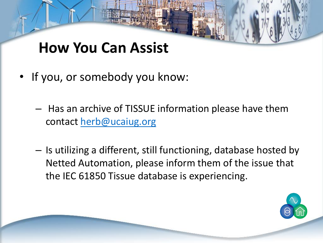### **How You Can Assist**

- If you, or somebody you know:
	- Has an archive of TISSUE information please have them contact [herb@ucaiug.org](mailto:herb@ucaiug.org)
	- Is utilizing a different, still functioning, database hosted by Netted Automation, please inform them of the issue that the IEC 61850 Tissue database is experiencing.

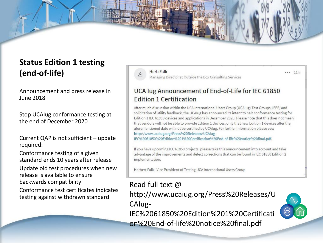

#### **Status Edition 1 testing (end-of-life)**

Announcement and press release in June 2018

Stop UCAIug conformance testing at the end of December 2020 .

Current QAP is not sufficient – update required:

Conformance testing of a given standard ends 10 years after release

Update old test procedures when new release is available to ensure backwards compatibility

Conformance test certificates indicates testing against withdrawn standard



**Herb Falk** Managing Director at Outside the Box Consulting Services  $11h$ 

#### UCA lug Announcement of End-of-Life for IEC 61850 **Edition 1 Certification**

After much discussion within the UCA International Users Group (UCAIug) Test Groups, IEEE, and solicitation of utility feedback, the UCAIug has announced its intent to halt conformance testing for Edition 1 IEC 61850 devices and applications in December 2020. Please note that this does not mean that vendors will not be able to provide Edition 1 devices, only that new Edition 1 devices after the aforementioned date will not be certified by UCAIug. For further information please see: http://www.ucaiug.org/Press%20Releases/UCAIug-

IEC%2061850%20Edition%201%20Certification%20End-of-life%20notice%20final.pdf.

If you have upcoming IEC 61850 projects, please take this announcement into account and take advantage of the improvements and defect corrections that can be found in IEC 61850 Edition 2 implementation.

Herbert Falk - Vice President of Testing UCA International Users Group

#### Read full text @

http://www.ucaiug.org/Press%20Releases/U CAIug-

IEC%2061850%20Edition%201%20Certificati on%20End-of-life%20notice%20final.pdf

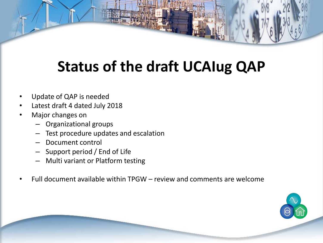# **Status of the draft UCAIug QAP**

- Update of QAP is needed
- Latest draft 4 dated July 2018
- Major changes on
	- Organizational groups
	- Test procedure updates and escalation
	- Document control
	- Support period / End of Life
	- Multi variant or Platform testing
- Full document available within TPGW review and comments are welcome

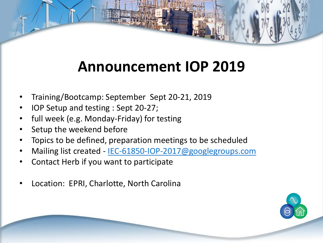# **Announcement IOP 2019**

- Training/Bootcamp: September Sept 20-21, 2019
- IOP Setup and testing : Sept 20-27;
- full week (e.g. Monday-Friday) for testing
- Setup the weekend before
- Topics to be defined, preparation meetings to be scheduled
- Mailing list created [IEC-61850-IOP-2017@googlegroups.com](mailto:IEC-61850-IOP-2017@googlegroups.com)
- Contact Herb if you want to participate
- Location: EPRI, Charlotte, North Carolina

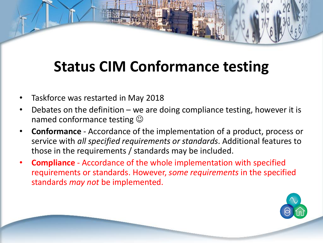- Taskforce was restarted in May 2018
- Debates on the definition we are doing compliance testing, however it is named conformance testing  $\odot$
- **Conformance** Accordance of the implementation of a product, process or service with *all specified requirements or standards*. Additional features to those in the requirements / standards may be included.
- **Compliance**  Accordance of the whole implementation with specified requirements or standards. However, *some requirements* in the specified standards *may not* be implemented.

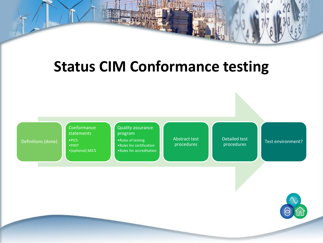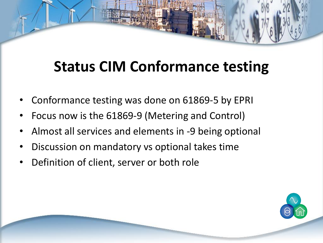- Conformance testing was done on 61869-5 by EPRI
- Focus now is the 61869-9 (Metering and Control)
- Almost all services and elements in -9 being optional
- Discussion on mandatory vs optional takes time
- Definition of client, server or both role

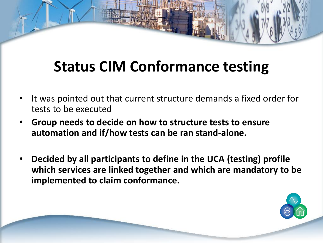- It was pointed out that current structure demands a fixed order for tests to be executed
- **Group needs to decide on how to structure tests to ensure automation and if/how tests can be ran stand-alone.**
- **Decided by all participants to define in the UCA (testing) profile which services are linked together and which are mandatory to be implemented to claim conformance.**

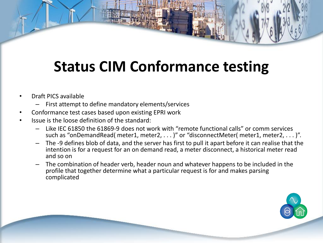- Draft PICS available
	- First attempt to define mandatory elements/services
- Conformance test cases based upon existing EPRI work
- Issue is the loose definition of the standard:
	- Like IEC 61850 the 61869-9 does not work with "remote functional calls" or comm services such as "onDemandRead( meter1, meter2, . . . )" or "disconnectMeter( meter1, meter2, . . . )".
	- The -9 defines blob of data, and the server has first to pull it apart before it can realise that the intention is for a request for an on demand read, a meter disconnect, a historical meter read and so on
	- The combination of header verb, header noun and whatever happens to be included in the profile that together determine what a particular request is for and makes parsing complicated

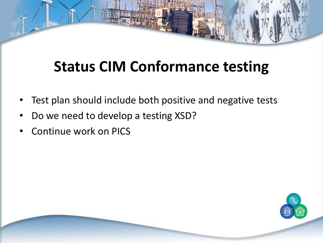- Test plan should include both positive and negative tests
- Do we need to develop a testing XSD?
- Continue work on PICS

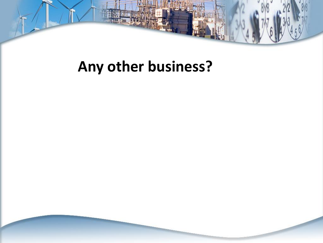